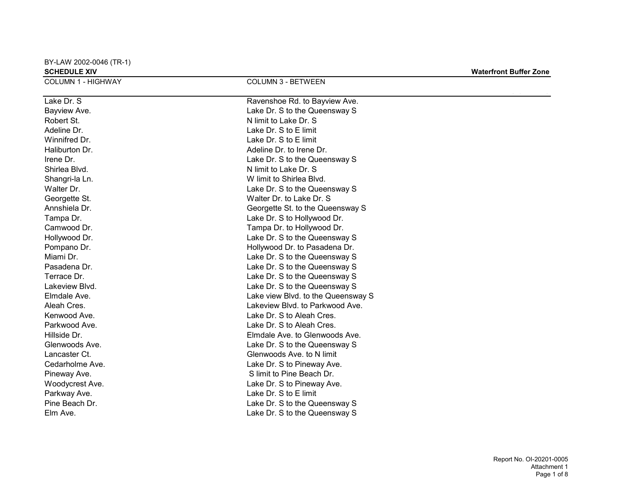BY-LAW 2002-0046 (TR-1)

| <b>SCHEDULE XIV</b>       |                                    | <b>Waterfront Buffer Zone</b> |
|---------------------------|------------------------------------|-------------------------------|
| <b>COLUMN 1 - HIGHWAY</b> | <b>COLUMN 3 - BETWEEN</b>          |                               |
| Lake Dr. S                | Ravenshoe Rd. to Bayview Ave.      |                               |
| Bayview Ave.              | Lake Dr. S to the Queensway S      |                               |
| Robert St.                | N limit to Lake Dr. S              |                               |
| Adeline Dr.               | Lake Dr. S to E limit              |                               |
| Winnifred Dr.             | Lake Dr. S to E limit              |                               |
| Haliburton Dr.            | Adeline Dr. to Irene Dr.           |                               |
| Irene Dr.                 | Lake Dr. S to the Queensway S      |                               |
| Shirlea Blvd.             | N limit to Lake Dr. S              |                               |
| Shangri-la Ln.            | W limit to Shirlea Blvd.           |                               |
| Walter Dr.                | Lake Dr. S to the Queensway S      |                               |
| Georgette St.             | Walter Dr. to Lake Dr. S           |                               |
| Annshiela Dr.             | Georgette St. to the Queensway S   |                               |
| Tampa Dr.                 | Lake Dr. S to Hollywood Dr.        |                               |
| Camwood Dr.               | Tampa Dr. to Hollywood Dr.         |                               |
| Hollywood Dr.             | Lake Dr. S to the Queensway S      |                               |
| Pompano Dr.               | Hollywood Dr. to Pasadena Dr.      |                               |
| Miami Dr.                 | Lake Dr. S to the Queensway S      |                               |
| Pasadena Dr.              | Lake Dr. S to the Queensway S      |                               |
| Terrace Dr.               | Lake Dr. S to the Queensway S      |                               |
| Lakeview Blvd.            | Lake Dr. S to the Queensway S      |                               |
| Elmdale Ave.              | Lake view Blvd. to the Queensway S |                               |
| Aleah Cres.               | Lakeview Blvd. to Parkwood Ave.    |                               |
| Kenwood Ave.              | Lake Dr. S to Aleah Cres.          |                               |
| Parkwood Ave.             | Lake Dr. S to Aleah Cres.          |                               |
| Hillside Dr.              | Elmdale Ave. to Glenwoods Ave.     |                               |
| Glenwoods Ave.            | Lake Dr. S to the Queensway S      |                               |
| Lancaster Ct.             | Glenwoods Ave. to N limit          |                               |
| Cedarholme Ave.           | Lake Dr. S to Pineway Ave.         |                               |
| Pineway Ave.              | S limit to Pine Beach Dr.          |                               |
| Woodycrest Ave.           | Lake Dr. S to Pineway Ave.         |                               |
| Parkway Ave.              | Lake Dr. S to E limit              |                               |
| Pine Beach Dr.            | Lake Dr. S to the Queensway S      |                               |
| Elm Ave.                  | Lake Dr. S to the Queensway S      |                               |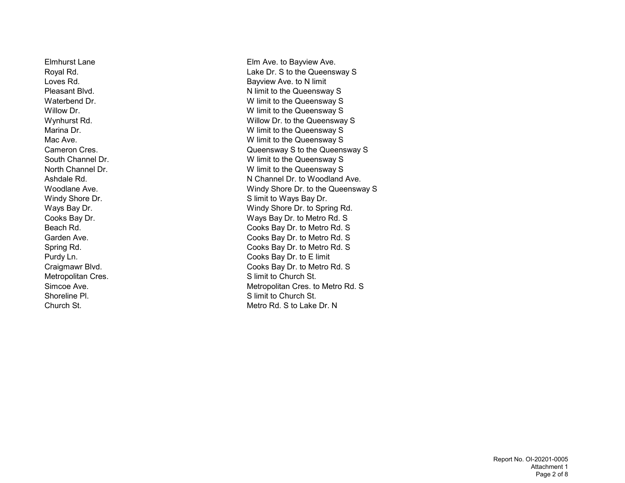Metropolitan Cres. S limit to Church St. Shoreline Pl. Shoreline Planet Communication St. Studies St. Studies St. St. Shoreline Planet Communication St

Elmhurst Lane Elm Ave. to Bayview Ave. Royal Rd. Lake Dr. S to the Queensway S Loves Rd. **Bayview Ave. to N limit** Pleasant Blvd. Notice that the Queensway S Waterbend Dr. No. 2006 and 2007 We water benefits the Unit of the Queensway S Willow Dr. **We are all the COVID-MIN** We limit to the Queensway S Wynhurst Rd. Note that the Willow Dr. to the Queensway S Marina Dr. No. 2006 and 2007 W limit to the Queensway S Mac Ave. **Mac Ave.** Mac Ave. W limit to the Queensway S Cameron Cres. Queensway S to the Queensway S South Channel Dr. South Channel Dr. W limit to the Queensway S North Channel Dr. W limit to the Queensway S Ashdale Rd. No. 2006 Channel Dr. to Woodland Ave. Woodlane Ave. Windy Shore Dr. to the Queensway S Windy Shore Dr. Shore Dr. S limit to Ways Bay Dr. Ways Bay Dr. **Windy Shore Dr. to Spring Rd.** Windy Shore Dr. to Spring Rd. Cooks Bay Dr. Ways Bay Dr. to Metro Rd. S Beach Rd. Cooks Bay Dr. to Metro Rd. S Garden Ave. Cooks Bay Dr. to Metro Rd. S Spring Rd. Cooks Bay Dr. to Metro Rd. S Purdy Ln. **Cooks Bay Dr. to E limit** Craigmawr Blvd. Cooks Bay Dr. to Metro Rd. S Simcoe Ave. **Metropolitan Cres. to Metro Rd. S** Church St. Metro Rd. S to Lake Dr. N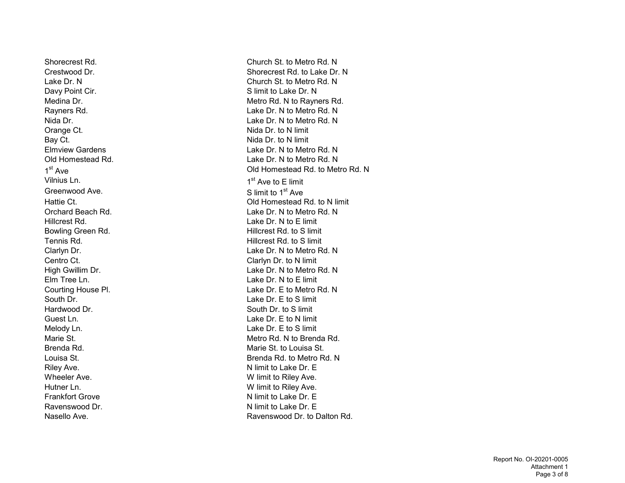Davy Point Cir. Communication of the Summit to Lake Dr. N Orange Ct. **Nida Dr. to N** limit Bay Ct. **Bay Ct. Bay Ct. Bay Ct. Bay Ct. Bay Ct. Bay Ct. Bay Ct. Bay Ct. Bay Ct. Bay Ct. Bay Ct. Bay Ct. Bay Ct. Bay Ct. Bay Ct. Bay Ct. Bay Ct. Bay Ct. Bay Ct. Bay Ct. Bay Ct. Bay** Vilnius Ln. Greenwood Ave. Supervisory Supervisory Supervisory Supervisory Supervisory Supervisory Supervisory Supervisory Supervisory Supervisory Supervisory Supervisory Supervisory Supervisory Supervisory Supervisory Supervisory Sup Hillcrest Rd. Lake Dr. N to E limit Bowling Green Rd. **Example 20 and Series** Hillcrest Rd. to S limit Tennis Rd. **Hillcrest Rd. to S limit** Centro Ct. Centro Ct. Elm Tree Ln. Lake Dr. N to E limit South Dr. **South Dr.** 2008. The state of the U.S. Lake Dr. E to S limit Hardwood Dr. South Dr. to S limit Guest Ln. **Container and Container Container and Container Container and Container Container and Container and Container and Container and Container and Container and Container and Container and Container and Container and** Melody Ln. Solution of the Contract of the Lake Dr. E to S limit Riley Ave. **N** limit to Lake Dr. E Wheeler Ave. **Wheeler Ave.** W limit to Riley Ave. Hutner Ln. Some and the Unit of the Watch Watch Watch Watch Watch Watch Watch Watch Watch Watch Watch Watch Wa Frankfort Grove **N** limit to Lake Dr. E Ravenswood Dr. No. 2006 and the U.S. Contract Music Number of Number 2012 and Number 2014 and Number 2014 and N

Shorecrest Rd. Church St. to Metro Rd. N Crestwood Dr. Shorecrest Rd. to Lake Dr. N Lake Dr. N Church St. to Metro Rd. N Medina Dr. **Metro Rd. N** to Rayners Rd. Rayners Rd. Lake Dr. N to Metro Rd. N Nida Dr. Lake Dr. N to Metro Rd. N Elmview Gardens Lake Dr. N to Metro Rd. N Old Homestead Rd. Lake Dr. N to Metro Rd. N 1 st Ave Old Homestead Rd. to Metro Rd. N 1<sup>st</sup> Ave to E limit Hattie Ct. Old Homestead Rd. to N limit Orchard Beach Rd. Northern Controller Controller Lake Dr. N to Metro Rd. Northern Lake Dr. N to Metro Rd. Northern Lake Dr. N Clarlyn Dr. Lake Dr. N to Metro Rd. N High Gwillim Dr. **Lake Dr. N** to Metro Rd. N Courting House Pl. **Courting House Pl.** Courting House Pl. Lake Dr. E to Metro Rd. N Marie St. Marie St. Metro Rd. N to Brenda Rd. Brenda Rd. Marie St. to Louisa St. Louisa St. Brenda Rd. to Metro Rd. N Nasello Ave. **Ravenswood Dr. to Dalton Rd.** Ravenswood Dr. to Dalton Rd.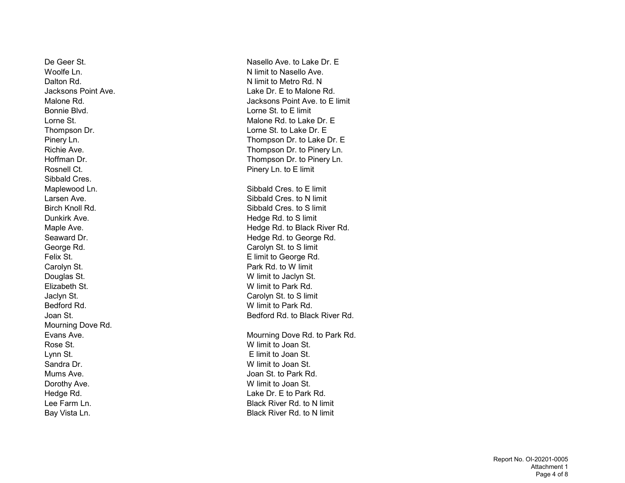Bonnie Blvd. Lorne St. to E limit Rosnell Ct. **Pinery Ln. to E limit** Sibbald Cres. Dunkirk Ave. **Example 20** and the State of the Hedge Rd. to S limit George Rd. Carolyn St. to S limit Carolyn St. **Park Rd. to W** limit Douglas St. W limit to Jaclyn St. Elizabeth St. W limit to Park Rd. Jaclyn St. Carolyn St. to S limit Bedford Rd. W limit to Park Rd. Mourning Dove Rd. Rose St. W limit to Joan St. Lynn St. E limit to Joan St. Sandra Dr. W limit to Joan St. Mums Ave. **In the about the Contract Contract Contract Contract Contract Contract Contract Contract Contract Contract Contract Contract Contract Contract Contract Contract Contract Contract Contract Contract Contract Contr** Dorothy Ave. **We use the COVID-MENT COVID-MENT COVID-MENT COVID-MENT COVID-MENT COVID-MENT COVID-MENT COVID-MENT COVID-MENT COVID-MENT COVID-MENT COVID-MENT COVID-MENT COVID-MENT COVID-MENT COVID-MENT COVID-MENT COVID-MENT** 

De Geer St. Nasello Ave. to Lake Dr. E Woolfe Ln. N limit to Nasello Ave. Dalton Rd. N limit to Metro Rd. N limit to Metro Rd. N Jacksons Point Ave. Lake Dr. E to Malone Rd. Malone Rd. Jacksons Point Ave. to E limit Lorne St. Malone Rd. to Lake Dr. E Thompson Dr. **Lorne St. to Lake Dr. E** Pinery Ln. Thompson Dr. to Lake Dr. E Richie Ave. Thompson Dr. to Pinery Ln. Hoffman Dr. Thompson Dr. to Pinery Ln. Maplewood Ln.  $\qquad \qquad$  Sibbald Cres. to E limit Larsen Ave. Sibbald Cres. to N limit Birch Knoll Rd. Sibbald Cres. to S limit Maple Ave. **Maple Ave.** All the Maple Ave. All the Maple Ave. **Hedge Rd. to Black River Rd.** Seaward Dr. **Seaward Dr. Seaward Dr. Hedge Rd. to George Rd. Hedge Rd. Hedge Rd. Hedge Rd. Hedge Rd. Hedge Rd. Hedge Rd. Hedge Rd. Hedge Rd. Hedge Rd. Hedge Rd. Hedge Rd. Hedge Rd. Hedge Rd.** Felix St. **E** limit to George Rd. Joan St. **Bedford Rd. to Black River Rd.** Bedford Rd. to Black River Rd. Evans Ave. **Mourning Dove Rd. to Park Rd.** Mourning Dove Rd. to Park Rd. Hedge Rd. Lake Dr. E to Park Rd. Lee Farm Ln. Black River Rd. to N limit Bay Vista Ln. **Black River Rd. to N limit** Black River Rd. to N limit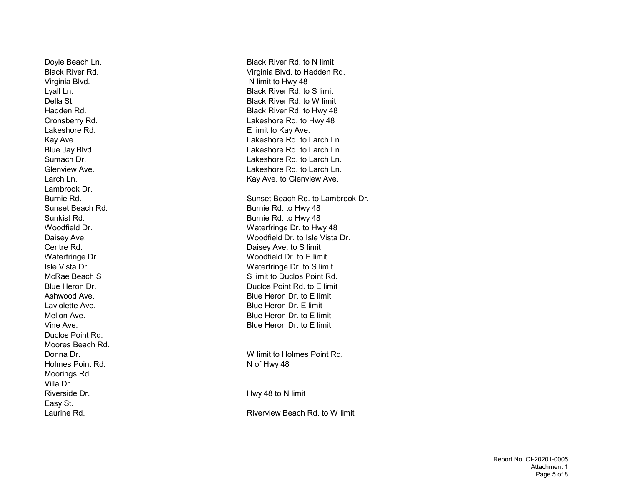Virginia Blvd. Nimit to Hwy 48 Lakeshore Rd. **Example 20** E limit to Kay Ave. Lambrook Dr. Duclos Point Rd. Moores Beach Rd. Donna Dr. W limit to Holmes Point Rd. Holmes Point Rd. Not Hwy 48 Moorings Rd. Villa Dr. Riverside Dr. **Hwy 48 to N** limit Easy St.

Doyle Beach Ln. Black River Rd. to N limit Black River Rd. Virginia Blvd. to Hadden Rd. Lyall Ln. **Example 20 Lyall Ln.** Black River Rd. to S limit Della St. Black River Rd. to W limit Hadden Rd. Black River Rd. to Hwy 48 Cronsberry Rd. Lakeshore Rd. to Hwy 48 Kay Ave. **Lakeshore Rd. to Larch Ln.** Blue Jay Blvd. Lakeshore Rd. to Larch Ln. Sumach Dr. Lakeshore Rd. to Larch Ln. Glenview Ave. Lakeshore Rd. to Larch Ln. Larch Ln. **Kay Ave.** to Glenview Ave. Burnie Rd. Sunset Beach Rd. to Lambrook Dr. Sunset Beach Rd. **Burnie Rd. to Hwy 48** Sunkist Rd. **Burnie Rd. to Hwy 48** Woodfield Dr. Waterfringe Dr. to Hwy 48 Daisey Ave. **Woodfield Dr. to Isle Vista Dr.** 2014. Centre Rd. Daisey Ave. to S limit Waterfringe Dr. No. 2008 2010 Woodfield Dr. to E limit Isle Vista Dr. Waterfringe Dr. to S limit McRae Beach S Solution Contract Contract Area of State Structure Structure Structure Structure Structure Structure Structure Structure Structure Structure Structure Structure Structure Structure Structure Structure Structu Blue Heron Dr. Duclos Point Rd. to E limit Ashwood Ave. Blue Heron Dr. to E limit Laviolette Ave. **Blue Heron Dr. E limit** Mellon Ave. Blue Heron Dr. to E limit Vine Ave. Blue Heron Dr. to E limit

Laurine Rd. **Riverview Beach Rd. to W** limit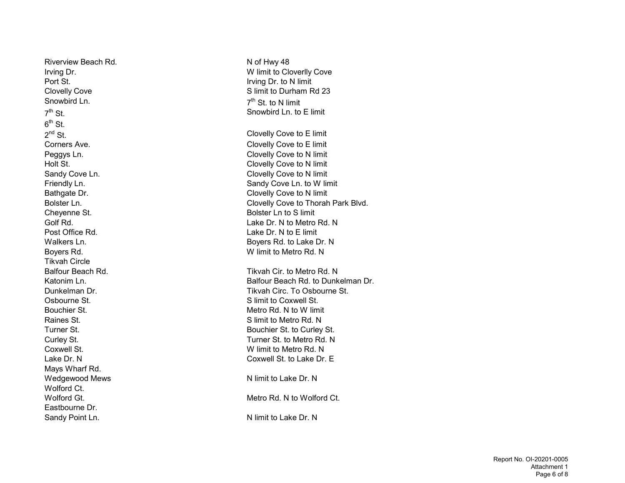Riverview Beach Rd. Not Hwy 48 Port St. **Irving Dr. to N limit** Snowbird Ln.  $7<sup>th</sup>$  St  $6^{\text{th}}$  St.  $2^{nd}$  St. Cheyenne St. **Bolster Ln to S limit** Post Office Rd. Lake Dr. N to E limit Boyers Rd. W limit to Metro Rd. N Tikvah Circle Osbourne St. S limit to Coxwell St. Bouchier St. **Metro Rd. N** to W limit Raines St. **Subset Contract Contract Contract Contract Contract Contract Contract Contract Contract Contract Contract Contract Contract Contract Contract Contract Contract Contract Contract Contract Contract Contract Contr** Coxwell St. W limit to Metro Rd. N Mays Wharf Rd. Wedgewood Mews Network Charles N limit to Lake Dr. N Wolford Ct. Eastbourne Dr. Sandy Point Ln. N limit to Lake Dr. N

Irving Dr. W limit to Cloverlly Cove Clovelly Cove Clovelly Cove Clovelly Cove Clovelly Cove S limit to Durham Rd 23 7<sup>th</sup> St. to N limit Snowbird Ln. to E limit Clovelly Cove to E limit Corners Ave. Corners Ave. Peggys Ln. **Clovelly Cove to N limit** Holt St. **Clovelly Cove to N limit** Sandy Cove Ln. Sandy Cove Ln. Sandy Cove Ln. Sandy Cove Ln. Sandy Cove Ln. Sandy Cove Ln. Sandy Cove Ln. Sandy Friendly Ln. Sandy Cove Ln. to W limit Bathgate Dr. Clovelly Cove to N limit Bolster Ln. **Clovelly Cove to Thorah Park Blvd.** Golf Rd. Lake Dr. N to Metro Rd. N Walkers Ln. **Boyers Rd. to Lake Dr. N** Balfour Beach Rd. Tikvah Cir. to Metro Rd. N Katonim Ln. **Balfour Beach Rd. to Dunkelman Dr.** Balfour Beach Rd. to Dunkelman Dr. Dunkelman Dr. Tikvah Circ. To Osbourne St. Turner St. **Bouchier St. to Curley St.** Curley St. Turner St. to Metro Rd. N Lake Dr. N Coxwell St. to Lake Dr. E Wolford Gt. Metro Rd. N to Wolford Ct.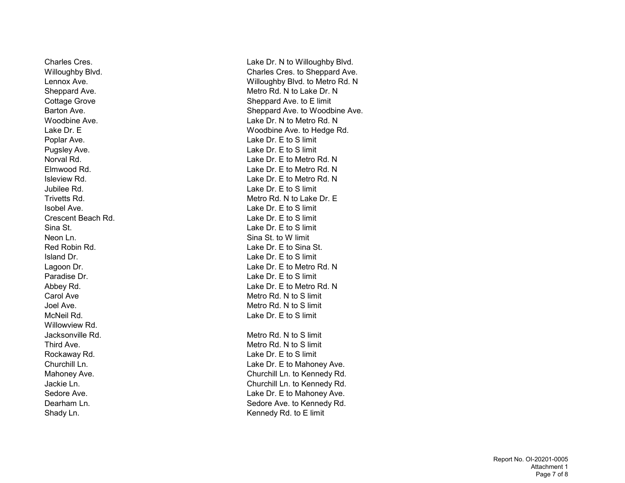Neon Ln. Sina St. to W limit Willowview Rd.

Charles Cres. The Charles Cres. Lake Dr. N to Willoughby Blvd. Willoughby Blvd. **Charles Cres. to Sheppard Ave.** Charles Cres. to Sheppard Ave. Lennox Ave. Willoughby Blvd. to Metro Rd. N Sheppard Ave. **Metro Rd. N** to Lake Dr. N Cottage Grove Cottage Grove Cottage Grove Cottage Sheppard Ave. to E limit Barton Ave. **Sheppard Ave.** Sheppard Ave. to Woodbine Ave. Woodbine Ave. Lake Dr. N to Metro Rd. N Lake Dr. E Woodbine Ave. to Hedge Rd. Poplar Ave. Lake Dr. E to S limit Pugsley Ave. **Lake Dr. E** to S limit Norval Rd. Lake Dr. E to Metro Rd. N Elmwood Rd. Lake Dr. E to Metro Rd. N Isleview Rd. Lake Dr. E to Metro Rd. N Jubilee Rd. Lake Dr. E to S limit Trivetts Rd. Metro Rd. N to Lake Dr. E Isobel Ave. Lake Dr. E to S limit Crescent Beach Rd. Lake Dr. E to S limit Sina St. Lake Dr. E to S limit Red Robin Rd. Lake Dr. E to Sina St. Island Dr. Lake Dr. E to S limit Lagoon Dr. **Lake Dr. E** to Metro Rd. N Paradise Dr. **Calculation** Contract Contract Contract Contract Contract Contract Contract Contract Contract Contract Contract Contract Contract Contract Contract Contract Contract Contract Contract Contract Contract Contra Abbey Rd. North Communication Communication Communication Communication Communication Communication Communication Communication Communication Communication Communication Communication Communication Communication Communicat Carol Ave **Metro Rd. N** to S limit Joel Ave. **Metro Rd. N** to S limit McNeil Rd. Lake Dr. E to S limit Jacksonville Rd. Metro Rd. N to S limit Third Ave. **Metro Rd. N** to S limit Rockaway Rd. Lake Dr. E to S limit Churchill Ln. **Churchill Ln.** Lake Dr. E to Mahoney Ave. Mahoney Ave. Churchill Ln. to Kennedy Rd. Jackie Ln. Churchill Ln. to Kennedy Rd. Sedore Ave. **Sedore Ave. Sedore Ave. Lake Dr. E** to Mahoney Ave. Dearham Ln. Sedore Ave. to Kennedy Rd. Shady Ln. Shady Ln.